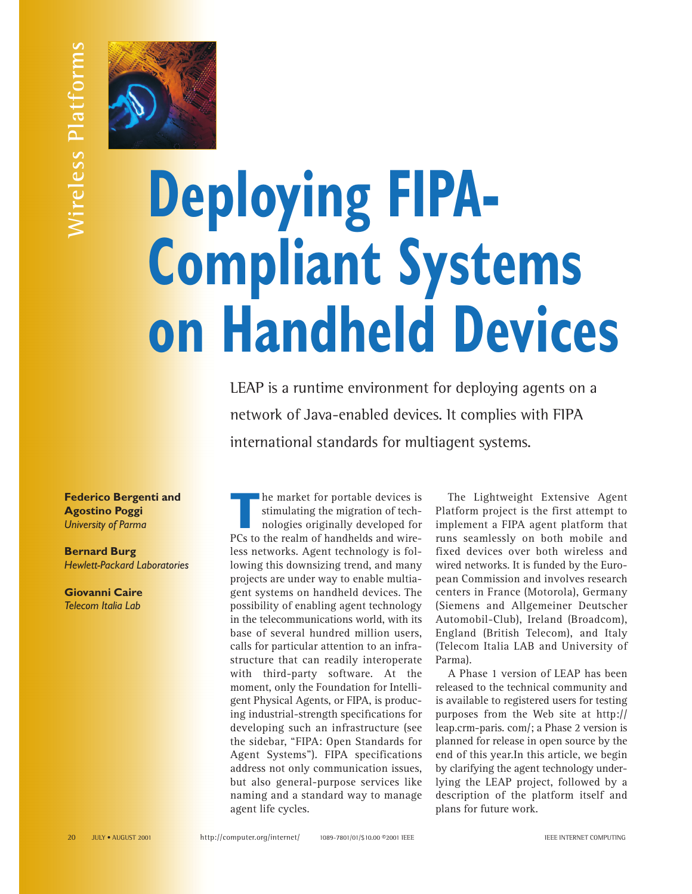

# **Deploying FIPA-Compliant Systems on Handheld Devices 20 JULY 1089 FIPA-**<br> **Compliant Systems**<br>
TRAP is a matrime environment for deploying agents on a<br>
network of Java-enabled devices. It comples with FIPA<br>
Thermational standards for multiagent systems.<br>
Thermational standa

LEAP is a runtime environment for deploying agents on a network of Java-enabled devices. It complies with FIPA international standards for multiagent systems.

**Federico Bergenti and Agostino Poggi** *University of Parma*

**Bernard Burg** *Hewlett-Packard Laboratories*

**Giovanni Caire** *Telecom Italia Lab*

**THE READE SERVING THE READER SERVING SERVING SERVING SERVING SERVIS TO THE POST OF PCS to the realm of handhelds and wire**he market for portable devices is stimulating the migration of technologies originally developed for less networks. Agent technology is following this downsizing trend, and many projects are under way to enable multiagent systems on handheld devices. The possibility of enabling agent technology in the telecommunications world, with its base of several hundred million users, calls for particular attention to an infrastructure that can readily interoperate with third-party software. At the moment, only the Foundation for Intelligent Physical Agents, or FIPA, is producing industrial-strength specifications for developing such an infrastructure (see the sidebar, "FIPA: Open Standards for Agent Systems"). FIPA specifications address not only communication issues, but also general-purpose services like naming and a standard way to manage agent life cycles.

The Lightweight Extensive Agent Platform project is the first attempt to implement a FIPA agent platform that runs seamlessly on both mobile and fixed devices over both wireless and wired networks. It is funded by the European Commission and involves research centers in France (Motorola), Germany (Siemens and Allgemeiner Deutscher Automobil-Club), Ireland (Broadcom), England (British Telecom), and Italy (Telecom Italia LAB and University of Parma).

A Phase 1 version of LEAP has been released to the technical community and is available to registered users for testing purposes from the Web site at http:// leap.crm-paris. com/; a Phase 2 version is planned for release in open source by the end of this year.In this article, we begin by clarifying the agent technology underlying the LEAP project, followed by a description of the platform itself and plans for future work.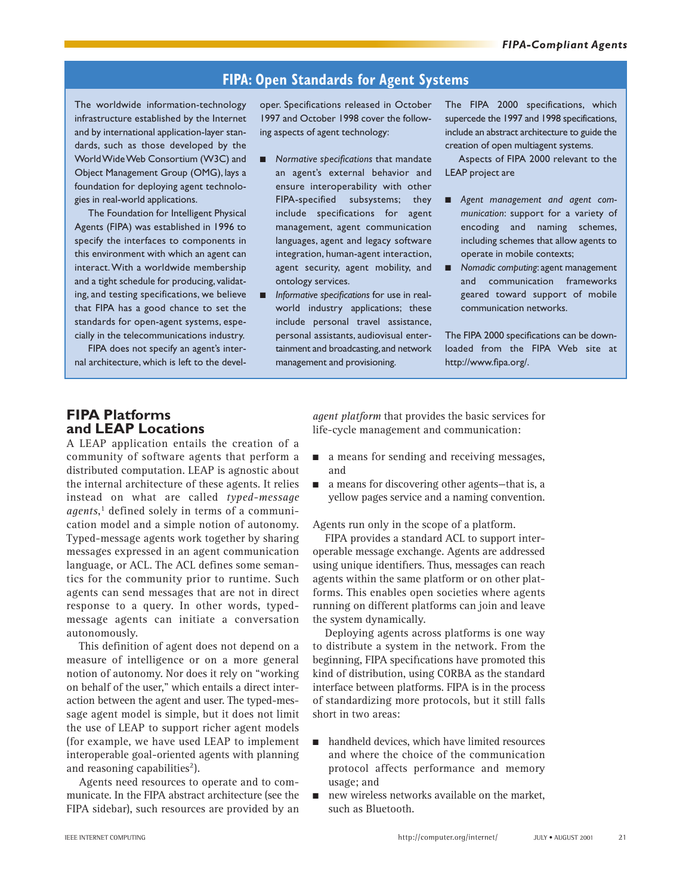# **FIPA: Open Standards for Agent Systems**

The worldwide information-technology infrastructure established by the Internet and by international application-layer standards, such as those developed by the World Wide Web Consortium (W3C) and Object Management Group (OMG), lays a foundation for deploying agent technologies in real-world applications.

The Foundation for Intelligent Physical Agents (FIPA) was established in 1996 to specify the interfaces to components in this environment with which an agent can interact.With a worldwide membership and a tight schedule for producing, validating, and testing specifications, we believe that FIPA has a good chance to set the standards for open-agent systems, especially in the telecommunications industry.

FIPA does not specify an agent's internal architecture, which is left to the developer. Specifications released in October 1997 and October 1998 cover the following aspects of agent technology:

- *Normative specifications* that mandate an agent's external behavior and ensure interoperability with other FIPA-specified subsystems; they include specifications for agent management, agent communication languages, agent and legacy software integration, human-agent interaction, agent security, agent mobility, and ontology services.
- *Informative specifications* for use in realworld industry applications; these include personal travel assistance, personal assistants, audiovisual entertainment and broadcasting, and network management and provisioning.

The FIPA 2000 specifications, which supercede the 1997 and 1998 specifications, include an abstract architecture to guide the creation of open multiagent systems.

Aspects of FIPA 2000 relevant to the LEAP project are

- *Agent management and agent communication*: support for a variety of encoding and naming schemes, including schemes that allow agents to operate in mobile contexts;
- *Nomadic computing*: agent management and communication frameworks geared toward support of mobile communication networks.

The FIPA 2000 specifications can be downloaded from the FIPA Web site at http://www.fipa.org/.

# **FIPA Platforms and LEAP Locations**

A LEAP application entails the creation of a community of software agents that perform a distributed computation. LEAP is agnostic about the internal architecture of these agents. It relies instead on what are called *typed-message agents*, <sup>1</sup> defined solely in terms of a communication model and a simple notion of autonomy. Typed-message agents work together by sharing messages expressed in an agent communication language, or ACL. The ACL defines some semantics for the community prior to runtime. Such agents can send messages that are not in direct response to a query. In other words, typedmessage agents can initiate a conversation autonomously.

This definition of agent does not depend on a measure of intelligence or on a more general notion of autonomy. Nor does it rely on "working on behalf of the user," which entails a direct interaction between the agent and user. The typed-message agent model is simple, but it does not limit the use of LEAP to support richer agent models (for example, we have used LEAP to implement interoperable goal-oriented agents with planning and reasoning capabilities $^2$ ).

Agents need resources to operate and to communicate. In the FIPA abstract architecture (see the FIPA sidebar), such resources are provided by an *agent platform* that provides the basic services for life-cycle management and communication:

- a means for sending and receiving messages, and
- a means for discovering other agents–that is, a yellow pages service and a naming convention.

Agents run only in the scope of a platform.

FIPA provides a standard ACL to support interoperable message exchange. Agents are addressed using unique identifiers. Thus, messages can reach agents within the same platform or on other platforms. This enables open societies where agents running on different platforms can join and leave the system dynamically.

Deploying agents across platforms is one way to distribute a system in the network. From the beginning, FIPA specifications have promoted this kind of distribution, using CORBA as the standard interface between platforms. FIPA is in the process of standardizing more protocols, but it still falls short in two areas:

- handheld devices, which have limited resources and where the choice of the communication protocol affects performance and memory usage; and
- new wireless networks available on the market, such as Bluetooth.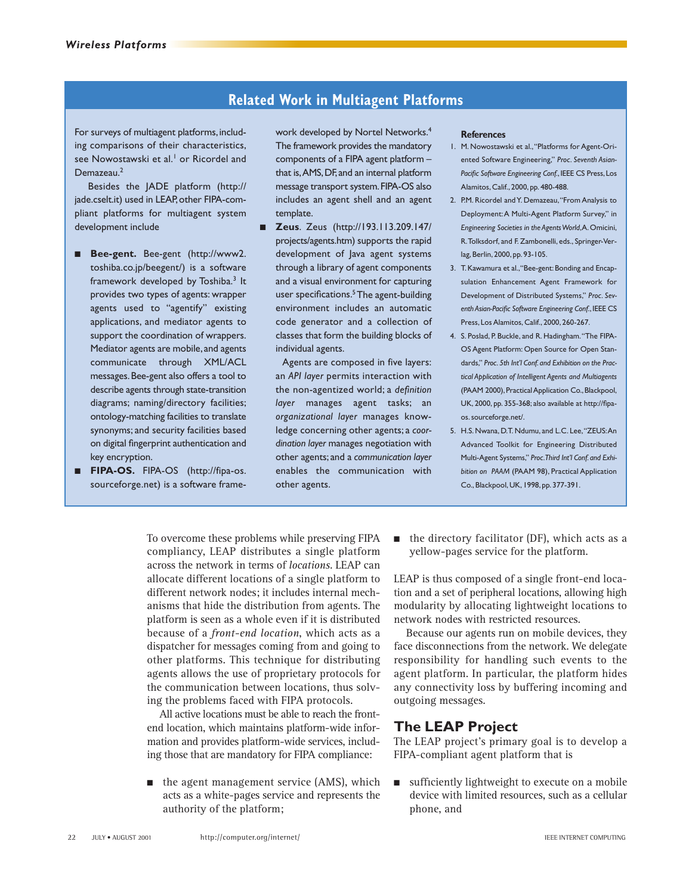# **Related Work in Multiagent Platforms**

For surveys of multiagent platforms,including comparisons of their characteristics, see Nowostawski et al.<sup>1</sup> or Ricordel and Demazeau.<sup>2</sup>

Besides the JADE platform (http:// jade.cselt.it) used in LEAP,other FIPA-compliant platforms for multiagent system development include

- **Bee-gent.** Bee-gent (http://www2. toshiba.co.jp/beegent/) is a software framework developed by Toshiba.<sup>3</sup> It provides two types of agents: wrapper agents used to "agentify" existing applications, and mediator agents to support the coordination of wrappers. Mediator agents are mobile, and agents communicate through XML/ACL messages.Bee-gent also offers a tool to describe agents through state-transition diagrams; naming/directory facilities; ontology-matching facilities to translate synonyms; and security facilities based on digital fingerprint authentication and key encryption.
- **FIPA-OS.** FIPA-OS (http://fipa-os. sourceforge.net) is a software frame-

work developed by Nortel Networks.4 The framework provides the mandatory components of a FIPA agent platform – that is,AMS,DF,and an internal platform message transport system.FIPA-OS also includes an agent shell and an agent template.

■ **Zeus**. Zeus (http://193.113.209.147/ projects/agents.htm) supports the rapid development of Java agent systems through a library of agent components and a visual environment for capturing user specifications.<sup>5</sup> The agent-building environment includes an automatic code generator and a collection of classes that form the building blocks of individual agents.

Agents are composed in five layers: an *API layer* permits interaction with the non-agentized world; a *definition layer* manages agent tasks; an *organizational layer* manages knowledge concerning other agents; a *coordination layer* manages negotiation with other agents; and a *communication layer* enables the communication with other agents.

### **References**

- 1. M. Nowostawski et al.,"Platforms for Agent-Oriented Software Engineering," *Proc. Seventh Asian-*Pacific Software Engineering Conf., IEEE CS Press, Los Alamitos, Calif., 2000, pp. 480-488.
- 2. P.M. Ricordel and Y. Demazeau,"From Analysis to Deployment:A Multi-Agent Platform Survey," in *Engineering Societies in the Agents World*,A.Omicini, R.Tolksdorf, and F. Zambonelli, eds., Springer-Verlag, Berlin, 2000, pp. 93-105.
- 3. T. Kawamura et al., "Bee-gent: Bonding and Encapsulation Enhancement Agent Framework for Development of Distributed Systems," *Proc. Seventh Asian-Pacific Software Engineering Conf*.,IEEE CS Press, Los Alamitos, Calif., 2000, 260-267.
- 4. S. Poslad, P. Buckle, and R. Hadingham."The FIPA-OS Agent Platform: Open Source for Open Standards," *Proc.5th Int'l Conf.and Exhibition on the Practical Application of Intelligent Agents and Multiagents* (PAAM 2000), Practical Application Co., Blackpool, UK, 2000, pp. 355-368; also available at http://fipaos. sourceforge.net/.
- 5. H.S. Nwana, D.T. Ndumu, and L.C. Lee,"ZEUS:An Advanced Toolkit for Engineering Distributed Multi-Agent Systems," *Proc.Third Int'l Conf.and Exhibition on PAAM* (PAAM 98), Practical Application Co., Blackpool, UK, 1998, pp. 377-391.

To overcome these problems while preserving FIPA compliancy, LEAP distributes a single platform across the network in terms of *locations*. LEAP can allocate different locations of a single platform to different network nodes; it includes internal mechanisms that hide the distribution from agents. The platform is seen as a whole even if it is distributed because of a *front-end location*, which acts as a dispatcher for messages coming from and going to other platforms. This technique for distributing agents allows the use of proprietary protocols for the communication between locations, thus solving the problems faced with FIPA protocols.

All active locations must be able to reach the frontend location, which maintains platform-wide information and provides platform-wide services, including those that are mandatory for FIPA compliance:

■ the agent management service (AMS), which acts as a white-pages service and represents the authority of the platform;

■ the directory facilitator (DF), which acts as a yellow-pages service for the platform.

LEAP is thus composed of a single front-end location and a set of peripheral locations, allowing high modularity by allocating lightweight locations to network nodes with restricted resources.

Because our agents run on mobile devices, they face disconnections from the network. We delegate responsibility for handling such events to the agent platform. In particular, the platform hides any connectivity loss by buffering incoming and outgoing messages.

# **The LEAP Project**

The LEAP project's primary goal is to develop a FIPA-compliant agent platform that is

■ sufficiently lightweight to execute on a mobile device with limited resources, such as a cellular phone, and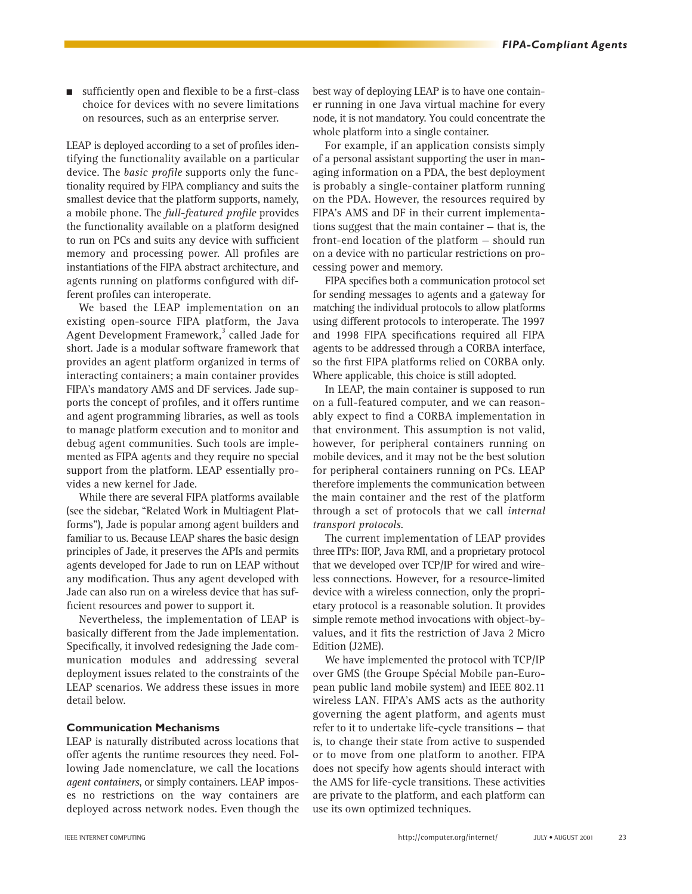■ sufficiently open and flexible to be a first-class choice for devices with no severe limitations on resources, such as an enterprise server.

LEAP is deployed according to a set of profiles identifying the functionality available on a particular device. The *basic profile* supports only the functionality required by FIPA compliancy and suits the smallest device that the platform supports, namely, a mobile phone. The *full-featured profile* provides the functionality available on a platform designed to run on PCs and suits any device with sufficient memory and processing power. All profiles are instantiations of the FIPA abstract architecture, and agents running on platforms configured with different profiles can interoperate.

We based the LEAP implementation on an existing open-source FIPA platform, the Java Agent Development Framework,<sup>3</sup> called Jade for short. Jade is a modular software framework that provides an agent platform organized in terms of interacting containers; a main container provides FIPA's mandatory AMS and DF services. Jade supports the concept of profiles, and it offers runtime and agent programming libraries, as well as tools to manage platform execution and to monitor and debug agent communities. Such tools are implemented as FIPA agents and they require no special support from the platform. LEAP essentially provides a new kernel for Jade.

While there are several FIPA platforms available (see the sidebar, "Related Work in Multiagent Platforms"), Jade is popular among agent builders and familiar to us. Because LEAP shares the basic design principles of Jade, it preserves the APIs and permits agents developed for Jade to run on LEAP without any modification. Thus any agent developed with Jade can also run on a wireless device that has sufficient resources and power to support it.

Nevertheless, the implementation of LEAP is basically different from the Jade implementation. Specifically, it involved redesigning the Jade communication modules and addressing several deployment issues related to the constraints of the LEAP scenarios. We address these issues in more detail below.

## **Communication Mechanisms**

LEAP is naturally distributed across locations that offer agents the runtime resources they need. Following Jade nomenclature, we call the locations *agent containers*, or simply containers. LEAP imposes no restrictions on the way containers are deployed across network nodes. Even though the best way of deploying LEAP is to have one container running in one Java virtual machine for every node, it is not mandatory. You could concentrate the whole platform into a single container.

For example, if an application consists simply of a personal assistant supporting the user in managing information on a PDA, the best deployment is probably a single-container platform running on the PDA. However, the resources required by FIPA's AMS and DF in their current implementations suggest that the main container — that is, the front-end location of the platform — should run on a device with no particular restrictions on processing power and memory.

FIPA specifies both a communication protocol set for sending messages to agents and a gateway for matching the individual protocols to allow platforms using different protocols to interoperate. The 1997 and 1998 FIPA specifications required all FIPA agents to be addressed through a CORBA interface, so the first FIPA platforms relied on CORBA only. Where applicable, this choice is still adopted.

In LEAP, the main container is supposed to run on a full-featured computer, and we can reasonably expect to find a CORBA implementation in that environment. This assumption is not valid, however, for peripheral containers running on mobile devices, and it may not be the best solution for peripheral containers running on PCs. LEAP therefore implements the communication between the main container and the rest of the platform through a set of protocols that we call *internal transport protocols*.

The current implementation of LEAP provides three ITPs: IIOP, Java RMI, and a proprietary protocol that we developed over TCP/IP for wired and wireless connections. However, for a resource-limited device with a wireless connection, only the proprietary protocol is a reasonable solution. It provides simple remote method invocations with object-byvalues, and it fits the restriction of Java 2 Micro Edition (J2ME).

We have implemented the protocol with TCP/IP over GMS (the Groupe Spécial Mobile pan-European public land mobile system) and IEEE 802.11 wireless LAN. FIPA's AMS acts as the authority governing the agent platform, and agents must refer to it to undertake life-cycle transitions — that is, to change their state from active to suspended or to move from one platform to another. FIPA does not specify how agents should interact with the AMS for life-cycle transitions. These activities are private to the platform, and each platform can use its own optimized techniques.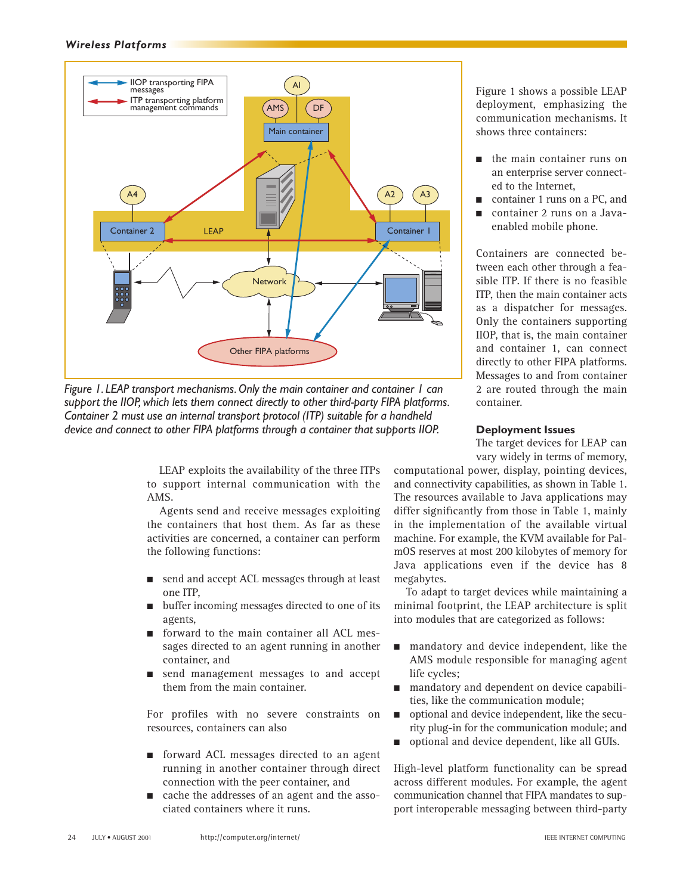

*Figure 1. LEAP transport mechanisms. Only the main container and container 1 can support the IIOP, which lets them connect directly to other third-party FIPA platforms. Container 2 must use an internal transport protocol (ITP) suitable for a handheld device and connect to other FIPA platforms through a container that supports IIOP.*

LEAP exploits the availability of the three ITPs to support internal communication with the AMS.

Agents send and receive messages exploiting the containers that host them. As far as these activities are concerned, a container can perform the following functions:

- send and accept ACL messages through at least one ITP,
- buffer incoming messages directed to one of its agents,
- forward to the main container all ACL messages directed to an agent running in another container, and
- send management messages to and accept them from the main container.

For profiles with no severe constraints on resources, containers can also

- forward ACL messages directed to an agent running in another container through direct connection with the peer container, and
- cache the addresses of an agent and the associated containers where it runs.

Figure 1 shows a possible LEAP deployment, emphasizing the communication mechanisms. It shows three containers:

- the main container runs on an enterprise server connected to the Internet,
- container 1 runs on a PC, and
- container 2 runs on a Javaenabled mobile phone.

Containers are connected between each other through a feasible ITP. If there is no feasible ITP, then the main container acts as a dispatcher for messages. Only the containers supporting IIOP, that is, the main container and container 1, can connect directly to other FIPA platforms. Messages to and from container 2 are routed through the main container.

### **Deployment Issues**

The target devices for LEAP can vary widely in terms of memory,

computational power, display, pointing devices, and connectivity capabilities, as shown in Table 1. The resources available to Java applications may differ significantly from those in Table 1, mainly in the implementation of the available virtual machine. For example, the KVM available for PalmOS reserves at most 200 kilobytes of memory for Java applications even if the device has 8 megabytes.

To adapt to target devices while maintaining a minimal footprint, the LEAP architecture is split into modules that are categorized as follows:

- mandatory and device independent, like the AMS module responsible for managing agent life cycles;
- mandatory and dependent on device capabilities, like the communication module;
- optional and device independent, like the security plug-in for the communication module; and
- optional and device dependent, like all GUIs.

High-level platform functionality can be spread across different modules. For example, the agent communication channel that FIPA mandates to support interoperable messaging between third-party